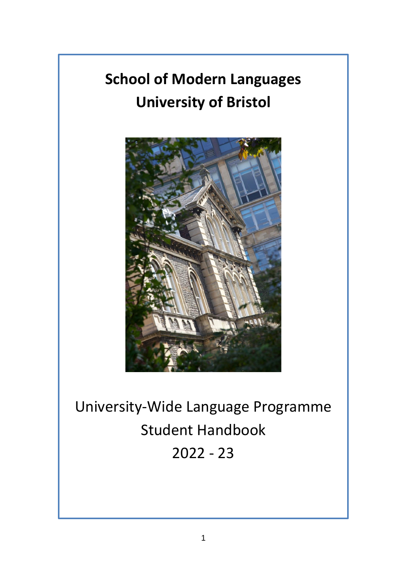# **School of Modern Languages University of Bristol**



University-Wide Language Programme Student Handbook 2022 - 23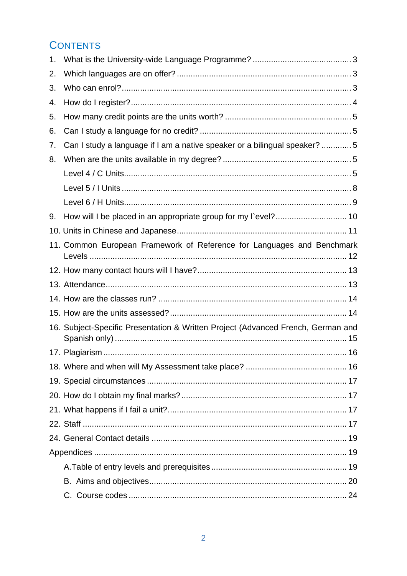# **CONTENTS**

| 1. |                                                                                  |  |
|----|----------------------------------------------------------------------------------|--|
| 2. |                                                                                  |  |
| 3. |                                                                                  |  |
| 4. |                                                                                  |  |
| 5. |                                                                                  |  |
| 6. |                                                                                  |  |
| 7. | Can I study a language if I am a native speaker or a bilingual speaker? 5        |  |
| 8. |                                                                                  |  |
|    |                                                                                  |  |
|    |                                                                                  |  |
|    |                                                                                  |  |
| 9. | How will I be placed in an appropriate group for my I`evel? 10                   |  |
|    |                                                                                  |  |
|    | 11. Common European Framework of Reference for Languages and Benchmark           |  |
|    |                                                                                  |  |
|    |                                                                                  |  |
|    |                                                                                  |  |
|    |                                                                                  |  |
|    | 16. Subject-Specific Presentation & Written Project (Advanced French, German and |  |
|    |                                                                                  |  |
|    |                                                                                  |  |
|    |                                                                                  |  |
|    |                                                                                  |  |
|    |                                                                                  |  |
|    |                                                                                  |  |
|    |                                                                                  |  |
|    |                                                                                  |  |
|    |                                                                                  |  |
|    |                                                                                  |  |
|    |                                                                                  |  |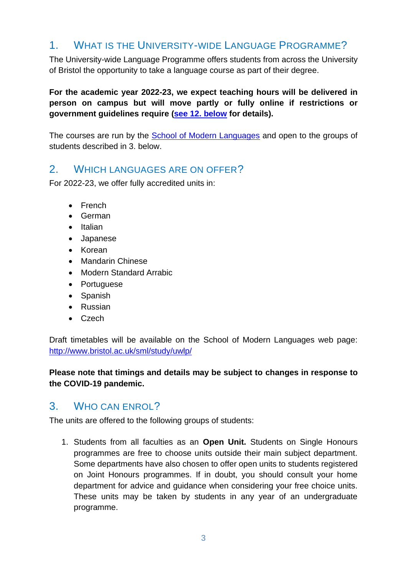# <span id="page-2-0"></span>1. WHAT IS THE UNIVERSITY-WIDE LANGUAGE PROGRAMME?

The University-wide Language Programme offers students from across the University of Bristol the opportunity to take a language course as part of their degree.

**For the academic year 2022-23, we expect teaching hours will be delivered in person on campus but will move partly or fully online if restrictions or government guidelines require [\(see 12. below](#page-12-0) for details).**

The courses are run by the [School of Modern Languages](http://www.bris.ac.uk/sml) and open to the groups of students described in 3. below.

### <span id="page-2-1"></span>2. WHICH LANGUAGES ARE ON OFFER?

For 2022-23, we offer fully accredited units in:

- French
- German
- Italian
- Japanese
- Korean
- Mandarin Chinese
- Modern Standard Arrabic
- Portuguese
- Spanish
- Russian
- Czech

Draft timetables will be available on the School of Modern Languages web page: <http://www.bristol.ac.uk/sml/study/uwlp/>

#### **Please note that timings and details may be subject to changes in response to the COVID-19 pandemic.**

### <span id="page-2-2"></span>3. WHO CAN ENROL?

The units are offered to the following groups of students:

1. Students from all faculties as an **Open Unit.** Students on Single Honours programmes are free to choose units outside their main subject department. Some departments have also chosen to offer open units to students registered on Joint Honours programmes. If in doubt, you should consult your home department for advice and guidance when considering your free choice units. These units may be taken by students in any year of an undergraduate programme.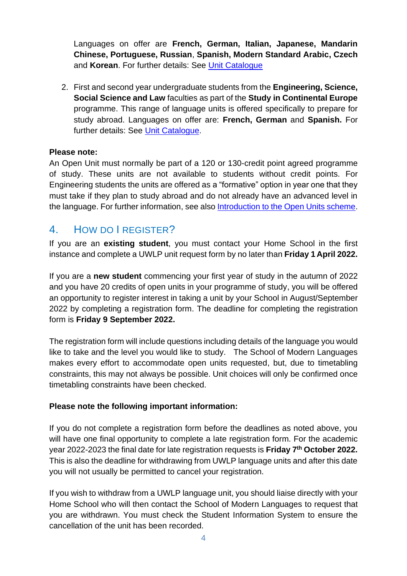Languages on offer are **French, German, Italian, Japanese, Mandarin Chinese, Portuguese, Russian**, **Spanish, Modern Standard Arabic, Czech** and **Korean**. For further details: See [Unit Catalogue](http://www.bris.ac.uk/esu/unitprogcat/)

2. First and second year undergraduate students from the **Engineering, Science, Social Science and Law** faculties as part of the **Study in Continental Europe** programme. This range of language units is offered specifically to prepare for study abroad. Languages on offer are: **French, German** and **Spanish.** For further details: See [Unit Catalogue.](http://www.bris.ac.uk/esu/unitprogcat/Welcome.jsa)

#### **Please note:**

An Open Unit must normally be part of a 120 or 130-credit point agreed programme of study. These units are not available to students without credit points. For Engineering students the units are offered as a "formative" option in year one that they must take if they plan to study abroad and do not already have an advanced level in the language. For further information, see also [Introduction to the Open Units scheme.](http://www.bristol.ac.uk/academic-quality/approve/openunits/)

# <span id="page-3-0"></span>4. HOW DO I REGISTER?

If you are an **existing student**, you must contact your Home School in the first instance and complete a UWLP unit request form by no later than **Friday 1 April 2022.**

If you are a **new student** commencing your first year of study in the autumn of 2022 and you have 20 credits of open units in your programme of study, you will be offered an opportunity to register interest in taking a unit by your School in August/September 2022 by completing a registration form. The deadline for completing the registration form is **Friday 9 September 2022.**

The registration form will include questions including details of the language you would like to take and the level you would like to study. The School of Modern Languages makes every effort to accommodate open units requested, but, due to timetabling constraints, this may not always be possible. Unit choices will only be confirmed once timetabling constraints have been checked.

#### **Please note the following important information:**

If you do not complete a registration form before the deadlines as noted above, you will have one final opportunity to complete a late registration form. For the academic year 2022-2023 the final date for late registration requests is **Friday 7 th October 2022.** This is also the deadline for withdrawing from UWLP language units and after this date you will not usually be permitted to cancel your registration.

If you wish to withdraw from a UWLP language unit, you should liaise directly with your Home School who will then contact the School of Modern Languages to request that you are withdrawn. You must check the Student Information System to ensure the cancellation of the unit has been recorded.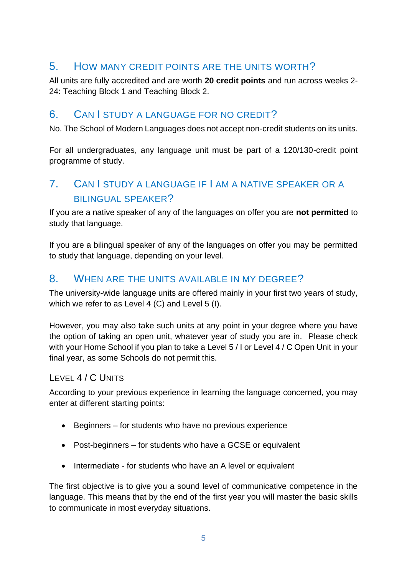# <span id="page-4-0"></span>5. HOW MANY CREDIT POINTS ARE THE UNITS WORTH?

All units are fully accredited and are worth **20 credit points** and run across weeks 2- 24: Teaching Block 1 and Teaching Block 2.

### <span id="page-4-1"></span>6. CAN I STUDY A LANGUAGE FOR NO CREDIT?

No. The School of Modern Languages does not accept non-credit students on its units.

For all undergraduates, any language unit must be part of a 120/130-credit point programme of study.

# <span id="page-4-2"></span>7. CAN I STUDY A LANGUAGE IF I AM A NATIVE SPEAKER OR A BILINGUAL SPEAKER?

If you are a native speaker of any of the languages on offer you are **not permitted** to study that language.

If you are a bilingual speaker of any of the languages on offer you may be permitted to study that language, depending on your level.

# <span id="page-4-3"></span>8. WHEN ARE THE UNITS AVAILABLE IN MY DEGREE?

The university-wide language units are offered mainly in your first two years of study, which we refer to as Level 4 (C) and Level 5 (I).

However, you may also take such units at any point in your degree where you have the option of taking an open unit, whatever year of study you are in. Please check with your Home School if you plan to take a Level 5 / I or Level 4 / C Open Unit in your final year, as some Schools do not permit this.

### <span id="page-4-4"></span>LEVEL 4 / C UNITS

According to your previous experience in learning the language concerned, you may enter at different starting points:

- Beginners for students who have no previous experience
- Post-beginners for students who have a GCSE or equivalent
- Intermediate for students who have an A level or equivalent

The first objective is to give you a sound level of communicative competence in the language. This means that by the end of the first year you will master the basic skills to communicate in most everyday situations.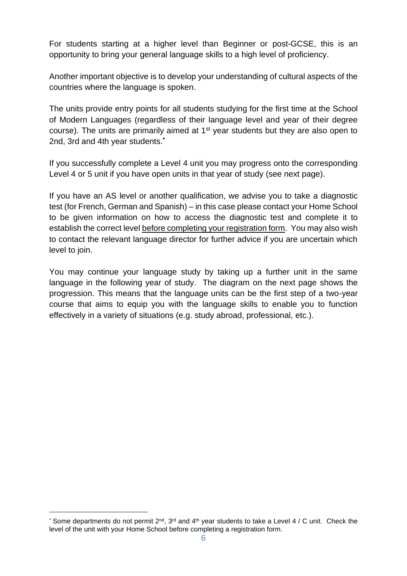For students starting at a higher level than Beginner or post-GCSE, this is an opportunity to bring your general language skills to a high level of proficiency.

Another important objective is to develop your understanding of cultural aspects of the countries where the language is spoken.

The units provide entry points for all students studying for the first time at the School of Modern Languages (regardless of their language level and year of their degree course). The units are primarily aimed at 1<sup>st</sup> year students but they are also open to 2nd, 3rd and 4th year students.**\***

If you successfully complete a Level 4 unit you may progress onto the corresponding Level 4 or 5 unit if you have open units in that year of study (see next page).

If you have an AS level or another qualification, we advise you to take a diagnostic test (for French, German and Spanish) – in this case please contact your Home School to be given information on how to access the diagnostic test and complete it to establish the correct level before completing your registration form. You may also wish to contact the relevant language director for further advice if you are uncertain which level to join.

You may continue your language study by taking up a further unit in the same language in the following year of study. The diagram on the next page shows the progression. This means that the language units can be the first step of a two-year course that aims to equip you with the language skills to enable you to function effectively in a variety of situations (e.g. study abroad, professional, etc.).

<sup>\*</sup> Some departments do not permit  $2^{nd}$ ,  $3^{rd}$  and  $4^{th}$  year students to take a Level 4 / C unit. Check the level of the unit with your Home School before completing a registration form.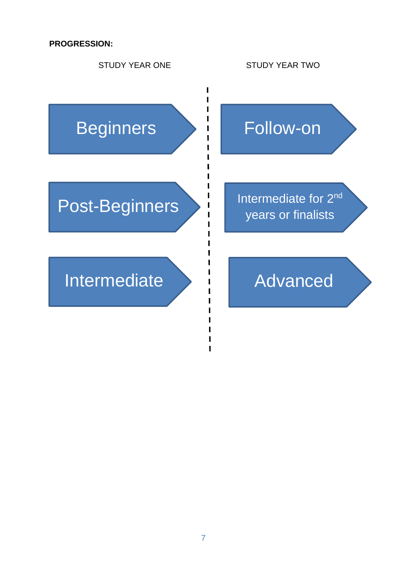#### **PROGRESSION:**



#### 7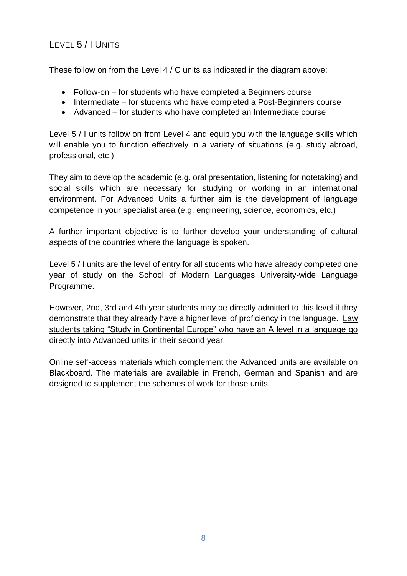# <span id="page-7-0"></span>LEVEL 5 / I UNITS

These follow on from the Level 4 / C units as indicated in the diagram above:

- Follow-on for students who have completed a Beginners course
- Intermediate for students who have completed a Post-Beginners course
- Advanced for students who have completed an Intermediate course

Level 5 / I units follow on from Level 4 and equip you with the language skills which will enable you to function effectively in a variety of situations (e.g. study abroad, professional, etc.).

They aim to develop the academic (e.g. oral presentation, listening for notetaking) and social skills which are necessary for studying or working in an international environment. For Advanced Units a further aim is the development of language competence in your specialist area (e.g. engineering, science, economics, etc.)

A further important objective is to further develop your understanding of cultural aspects of the countries where the language is spoken.

Level 5 / I units are the level of entry for all students who have already completed one year of study on the School of Modern Languages University-wide Language Programme.

However, 2nd, 3rd and 4th year students may be directly admitted to this level if they demonstrate that they already have a higher level of proficiency in the language. Law students taking "Study in Continental Europe" who have an A level in a language go directly into Advanced units in their second year.

Online self-access materials which complement the Advanced units are available on Blackboard. The materials are available in French, German and Spanish and are designed to supplement the schemes of work for those units.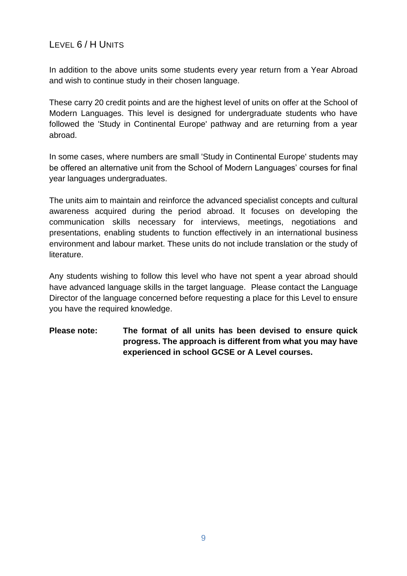### <span id="page-8-0"></span>LEVEL 6 / H UNITS

In addition to the above units some students every year return from a Year Abroad and wish to continue study in their chosen language.

These carry 20 credit points and are the highest level of units on offer at the School of Modern Languages. This level is designed for undergraduate students who have followed the 'Study in Continental Europe' pathway and are returning from a year abroad.

In some cases, where numbers are small 'Study in Continental Europe' students may be offered an alternative unit from the School of Modern Languages' courses for final year languages undergraduates.

The units aim to maintain and reinforce the advanced specialist concepts and cultural awareness acquired during the period abroad. It focuses on developing the communication skills necessary for interviews, meetings, negotiations and presentations, enabling students to function effectively in an international business environment and labour market. These units do not include translation or the study of literature.

Any students wishing to follow this level who have not spent a year abroad should have advanced language skills in the target language. Please contact the Language Director of the language concerned before requesting a place for this Level to ensure you have the required knowledge.

#### **Please note: The format of all units has been devised to ensure quick progress. The approach is different from what you may have experienced in school GCSE or A Level courses.**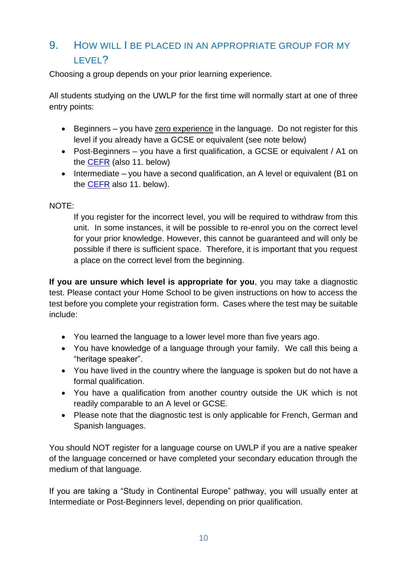# <span id="page-9-0"></span>9. HOW WILL I BE PLACED IN AN APPROPRIATE GROUP FOR MY LEVEL?

Choosing a group depends on your prior learning experience.

All students studying on the UWLP for the first time will normally start at one of three entry points:

- Beginners you have zero experience in the language. Do not register for this level if you already have a GCSE or equivalent (see note below)
- Post-Beginners you have a first qualification, a GCSE or equivalent / A1 on the [CEFR](http://www.coe.int/t/dg4/linguistic/cadre1_en.asp) (also 11. below)
- Intermediate you have a second qualification, an A level or equivalent (B1 on the [CEFR](http://www.coe.int/t/dg4/linguistic/cadre1_en.asp) also 11. below).

#### NOTE:

If you register for the incorrect level, you will be required to withdraw from this unit. In some instances, it will be possible to re-enrol you on the correct level for your prior knowledge. However, this cannot be guaranteed and will only be possible if there is sufficient space. Therefore, it is important that you request a place on the correct level from the beginning.

**If you are unsure which level is appropriate for you**, you may take a diagnostic test. Please contact your Home School to be given instructions on how to access the test before you complete your registration form. Cases where the test may be suitable include:

- You learned the language to a lower level more than five years ago.
- You have knowledge of a language through your family. We call this being a "heritage speaker".
- You have lived in the country where the language is spoken but do not have a formal qualification.
- You have a qualification from another country outside the UK which is not readily comparable to an A level or GCSE.
- Please note that the diagnostic test is only applicable for French, German and Spanish languages.

You should NOT register for a language course on UWLP if you are a native speaker of the language concerned or have completed your secondary education through the medium of that language.

If you are taking a "Study in Continental Europe" pathway, you will usually enter at Intermediate or Post-Beginners level, depending on prior qualification.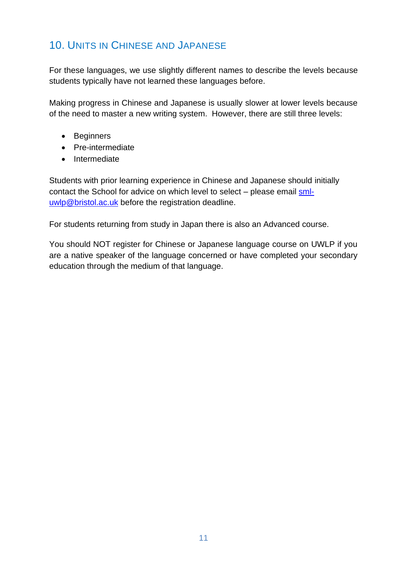# <span id="page-10-0"></span>10. UNITS IN CHINESE AND JAPANESE

For these languages, we use slightly different names to describe the levels because students typically have not learned these languages before.

Making progress in Chinese and Japanese is usually slower at lower levels because of the need to master a new writing system. However, there are still three levels:

- Beginners
- Pre-intermediate
- Intermediate

Students with prior learning experience in Chinese and Japanese should initially contact the School for advice on which level to select – please email [sml](mailto:sml-uwlp@bristol.ac.uk)[uwlp@bristol.ac.uk](mailto:sml-uwlp@bristol.ac.uk) before the registration deadline.

For students returning from study in Japan there is also an Advanced course.

You should NOT register for Chinese or Japanese language course on UWLP if you are a native speaker of the language concerned or have completed your secondary education through the medium of that language.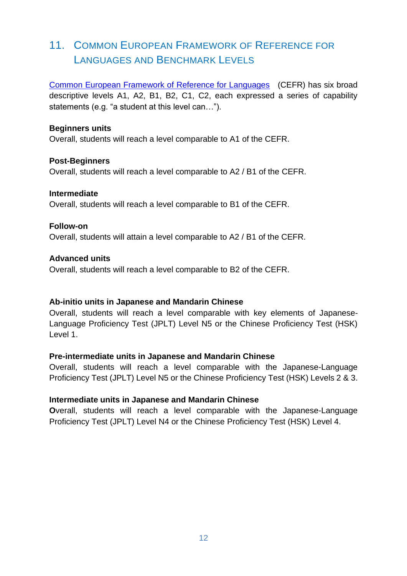# <span id="page-11-0"></span>11. COMMON EUROPEAN FRAMEWORK OF REFERENCE FOR LANGUAGES AND BENCHMARK LEVELS

[Common European Framework of Reference for Languages](http://www.coe.int/t/dg4/linguistic/cadre1_en.asp) (CEFR) has six broad descriptive levels A1, A2, B1, B2, C1, C2, each expressed a series of capability statements (e.g. "a student at this level can…").

#### **Beginners units**

Overall, students will reach a level comparable to A1 of the CEFR.

#### **Post-Beginners**

Overall, students will reach a level comparable to A2 / B1 of the CEFR.

#### **Intermediate**

Overall, students will reach a level comparable to B1 of the CEFR.

#### **Follow-on**

Overall, students will attain a level comparable to A2 / B1 of the CEFR.

#### **Advanced units**

Overall, students will reach a level comparable to B2 of the CEFR.

#### **Ab-initio units in Japanese and Mandarin Chinese**

Overall, students will reach a level comparable with key elements of Japanese-Language Proficiency Test (JPLT) Level N5 or the Chinese Proficiency Test (HSK) Level 1.

#### **Pre-intermediate units in Japanese and Mandarin Chinese**

Overall, students will reach a level comparable with the Japanese-Language Proficiency Test (JPLT) Level N5 or the Chinese Proficiency Test (HSK) Levels 2 & 3.

#### **Intermediate units in Japanese and Mandarin Chinese**

**O**verall, students will reach a level comparable with the Japanese-Language Proficiency Test (JPLT) Level N4 or the Chinese Proficiency Test (HSK) Level 4.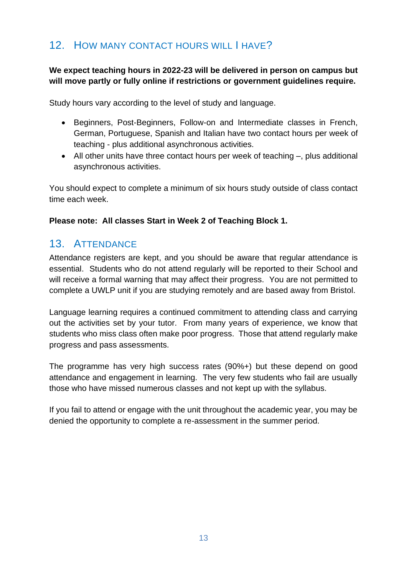# <span id="page-12-0"></span>12. HOW MANY CONTACT HOURS WILL I HAVE?

#### **We expect teaching hours in 2022-23 will be delivered in person on campus but will move partly or fully online if restrictions or government guidelines require.**

Study hours vary according to the level of study and language.

- Beginners, Post-Beginners, Follow-on and Intermediate classes in French, German, Portuguese, Spanish and Italian have two contact hours per week of teaching - plus additional asynchronous activities.
- All other units have three contact hours per week of teaching –, plus additional asynchronous activities.

You should expect to complete a minimum of six hours study outside of class contact time each week.

#### <span id="page-12-1"></span>**Please note: All classes Start in Week 2 of Teaching Block 1.**

# 13. ATTENDANCE

Attendance registers are kept, and you should be aware that regular attendance is essential. Students who do not attend regularly will be reported to their School and will receive a formal warning that may affect their progress. You are not permitted to complete a UWLP unit if you are studying remotely and are based away from Bristol.

Language learning requires a continued commitment to attending class and carrying out the activities set by your tutor. From many years of experience, we know that students who miss class often make poor progress. Those that attend regularly make progress and pass assessments.

The programme has very high success rates (90%+) but these depend on good attendance and engagement in learning. The very few students who fail are usually those who have missed numerous classes and not kept up with the syllabus.

<span id="page-12-2"></span>If you fail to attend or engage with the unit throughout the academic year, you may be denied the opportunity to complete a re-assessment in the summer period.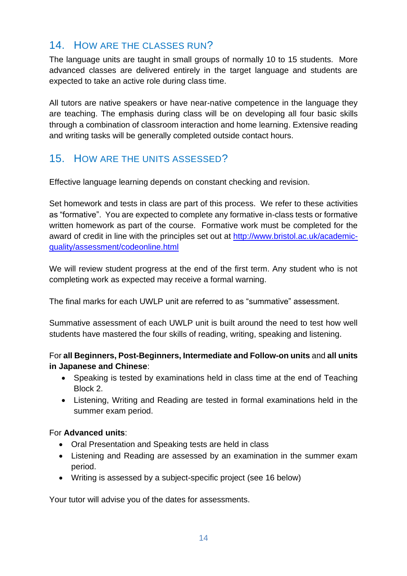### 14. HOW ARE THE CLASSES RUN?

The language units are taught in small groups of normally 10 to 15 students. More advanced classes are delivered entirely in the target language and students are expected to take an active role during class time.

All tutors are native speakers or have near-native competence in the language they are teaching. The emphasis during class will be on developing all four basic skills through a combination of classroom interaction and home learning. Extensive reading and writing tasks will be generally completed outside contact hours.

### <span id="page-13-0"></span>15. HOW ARE THE UNITS ASSESSED?

Effective language learning depends on constant checking and revision.

Set homework and tests in class are part of this process. We refer to these activities as "formative". You are expected to complete any formative in-class tests or formative written homework as part of the course. Formative work must be completed for the award of credit in line with the principles set out at [http://www.bristol.ac.uk/academic](http://www.bristol.ac.uk/academic-quality/assessment/codeonline.html)[quality/assessment/codeonline.html](http://www.bristol.ac.uk/academic-quality/assessment/codeonline.html)

We will review student progress at the end of the first term. Any student who is not completing work as expected may receive a formal warning.

The final marks for each UWLP unit are referred to as "summative" assessment.

Summative assessment of each UWLP unit is built around the need to test how well students have mastered the four skills of reading, writing, speaking and listening.

#### For **all Beginners, Post-Beginners, Intermediate and Follow-on units** and **all units in Japanese and Chinese**:

- Speaking is tested by examinations held in class time at the end of Teaching Block 2.
- Listening, Writing and Reading are tested in formal examinations held in the summer exam period.

#### For **Advanced units**:

- Oral Presentation and Speaking tests are held in class
- Listening and Reading are assessed by an examination in the summer exam period.
- Writing is assessed by a subject-specific project (see 16 below)

Your tutor will advise you of the dates for assessments.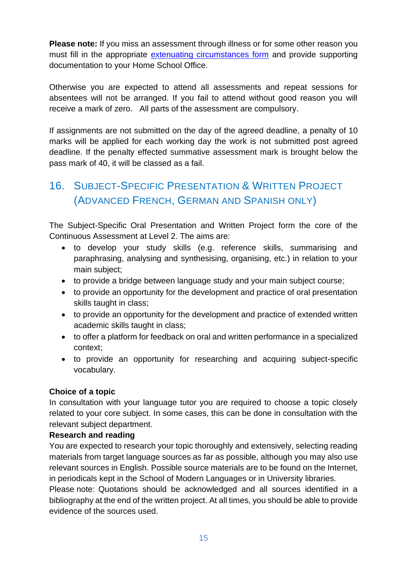**Please note:** If you miss an assessment through illness or for some other reason you must fill in the appropriate [extenuating circumstances form](http://www.bristol.ac.uk/academicregistry/policies.html) and provide supporting documentation to your Home School Office.

Otherwise you are expected to attend all assessments and repeat sessions for absentees will not be arranged. If you fail to attend without good reason you will receive a mark of zero. All parts of the assessment are compulsory.

If assignments are not submitted on the day of the agreed deadline, a penalty of 10 marks will be applied for each working day the work is not submitted post agreed deadline. If the penalty effected summative assessment mark is brought below the pass mark of 40, it will be classed as a fail.

# <span id="page-14-0"></span>16. SUBJECT-SPECIFIC PRESENTATION & WRITTEN PROJECT (ADVANCED FRENCH, GERMAN AND SPANISH ONLY)

The Subject-Specific Oral Presentation and Written Project form the core of the Continuous Assessment at Level 2. The aims are:

- to develop your study skills (e.g. reference skills, summarising and paraphrasing, analysing and synthesising, organising, etc.) in relation to your main subject;
- to provide a bridge between language study and your main subject course;
- to provide an opportunity for the development and practice of oral presentation skills taught in class;
- to provide an opportunity for the development and practice of extended written academic skills taught in class;
- to offer a platform for feedback on oral and written performance in a specialized context;
- to provide an opportunity for researching and acquiring subject-specific vocabulary.

#### **Choice of a topic**

In consultation with your language tutor you are required to choose a topic closely related to your core subject. In some cases, this can be done in consultation with the relevant subject department.

#### **Research and reading**

You are expected to research your topic thoroughly and extensively, selecting reading materials from target language sources as far as possible, although you may also use relevant sources in English. Possible source materials are to be found on the Internet, in periodicals kept in the School of Modern Languages or in University libraries.

Please note: Quotations should be acknowledged and all sources identified in a bibliography at the end of the written project. At all times, you should be able to provide evidence of the sources used.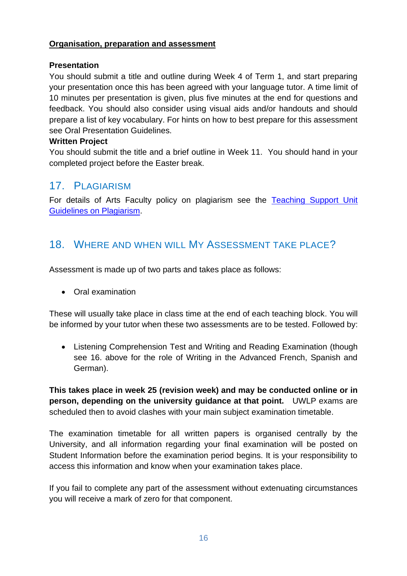#### **Organisation, preparation and assessment**

#### **Presentation**

You should submit a title and outline during Week 4 of Term 1, and start preparing your presentation once this has been agreed with your language tutor. A time limit of 10 minutes per presentation is given, plus five minutes at the end for questions and feedback. You should also consider using visual aids and/or handouts and should prepare a list of key vocabulary. For hints on how to best prepare for this assessment see [Oral Presentation Guidelines.](https://www.bris.ac.uk/languagecentre/afl/files/oralpresentationguidelines)

#### **Written Project**

You should submit the title and a brief outline in Week 11. You should hand in your completed project before the Easter break.

### <span id="page-15-0"></span>17. PLAGIARISM

For details of Arts Faculty policy on plagiarism see the [Teaching Support Unit](http://www.bristol.ac.uk/tsu/studentsupport/plagiarism/)  [Guidelines on Plagiarism.](http://www.bristol.ac.uk/tsu/studentsupport/plagiarism/)

### <span id="page-15-1"></span>18. WHERE AND WHEN WILL MY ASSESSMENT TAKE PLACE?

Assessment is made up of two parts and takes place as follows:

• Oral examination

These will usually take place in class time at the end of each teaching block. You will be informed by your tutor when these two assessments are to be tested. Followed by:

• Listening Comprehension Test and Writing and Reading Examination (though see 16. above for the role of Writing in the Advanced French, Spanish and German).

**This takes place in week 25 (revision week) and may be conducted online or in person, depending on the university guidance at that point.** UWLP exams are scheduled then to avoid clashes with your main subject examination timetable.

The examination timetable for all written papers is organised centrally by the University, and all information regarding your final examination will be posted on Student Information before the examination period begins. It is your responsibility to access this information and know when your examination takes place.

<span id="page-15-2"></span>If you fail to complete any part of the assessment without extenuating circumstances you will receive a mark of zero for that component.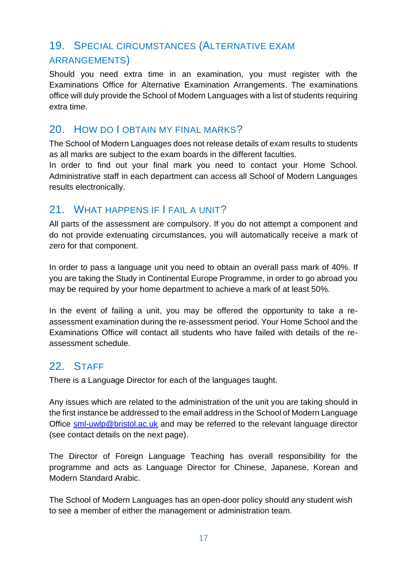# 19. SPECIAL CIRCUMSTANCES (ALTERNATIVE EXAM ARRANGEMENTS)

Should you need extra time in an examination, you must register with the Examinations Office for Alternative Examination Arrangements. The examinations office will duly provide the School of Modern Languages with a list of students requiring extra time.

### <span id="page-16-0"></span>20. HOW DO LOBTAIN MY FINAL MARKS?

The School of Modern Languages does not release details of exam results to students as all marks are subject to the exam boards in the different faculties.

In order to find out your final mark you need to contact your Home School. Administrative staff in each department can access all School of Modern Languages results electronically.

### <span id="page-16-1"></span>21. WHAT HAPPENS IF I FAIL A UNIT?

All parts of the assessment are compulsory. If you do not attempt a component and do not provide extenuating circumstances, you will automatically receive a mark of zero for that component.

In order to pass a language unit you need to obtain an overall pass mark of 40%. If you are taking the Study in Continental Europe Programme, in order to go abroad you may be required by your home department to achieve a mark of at least 50%.

In the event of failing a unit, you may be offered the opportunity to take a reassessment examination during the re-assessment period. Your Home School and the Examinations Office will contact all students who have failed with details of the reassessment schedule.

### <span id="page-16-2"></span>22. STAFF

There is a Language Director for each of the languages taught.

Any issues which are related to the administration of the unit you are taking should in the first instance be addressed to the email address in the School of Modern Language Office [sml-uwlp@bristol.ac.uk](mailto:sml-uwlp@bristol.ac.uk) and may be referred to the relevant language director (see contact details on the next page).

The Director of Foreign Language Teaching has overall responsibility for the programme and acts as Language Director for Chinese, Japanese, Korean and Modern Standard Arabic.

The School of Modern Languages has an open-door policy should any student wish to see a member of either the management or administration team.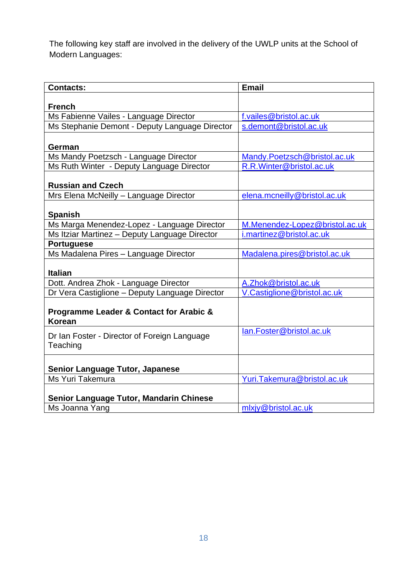The following key staff are involved in the delivery of the UWLP units at the School of Modern Languages:

<span id="page-17-0"></span>

| <b>Contacts:</b>                                         | <b>Email</b>                   |
|----------------------------------------------------------|--------------------------------|
|                                                          |                                |
| <b>French</b>                                            |                                |
| Ms Fabienne Vailes - Language Director                   | f.vailes@bristol.ac.uk         |
| Ms Stephanie Demont - Deputy Language Director           | s.demont@bristol.ac.uk         |
| German                                                   |                                |
| Ms Mandy Poetzsch - Language Director                    | Mandy.Poetzsch@bristol.ac.uk   |
| Ms Ruth Winter - Deputy Language Director                | R.R.Winter@bristol.ac.uk       |
| <b>Russian and Czech</b>                                 |                                |
| Mrs Elena McNeilly - Language Director                   | elena.mcneilly@bristol.ac.uk   |
| <b>Spanish</b>                                           |                                |
| Ms Marga Menendez-Lopez - Language Director              | M.Menendez-Lopez@bristol.ac.uk |
| Ms Itziar Martinez - Deputy Language Director            | i.martinez@bristol.ac.uk       |
| <b>Portuguese</b>                                        |                                |
| Ms Madalena Pires - Language Director                    | Madalena.pires@bristol.ac.uk   |
| <b>Italian</b>                                           |                                |
| Dott. Andrea Zhok - Language Director                    | A.Zhok@bristol.ac.uk           |
| Dr Vera Castiglione - Deputy Language Director           | V.Castiglione@bristol.ac.uk    |
| Programme Leader & Contact for Arabic &<br><b>Korean</b> |                                |
| Dr Ian Foster - Director of Foreign Language<br>Teaching | lan.Foster@bristol.ac.uk       |
| <b>Senior Language Tutor, Japanese</b>                   |                                |
| Ms Yuri Takemura                                         | Yuri.Takemura@bristol.ac.uk    |
| <b>Senior Language Tutor, Mandarin Chinese</b>           |                                |
| Ms Joanna Yang                                           | mlxiy@bristol.ac.uk            |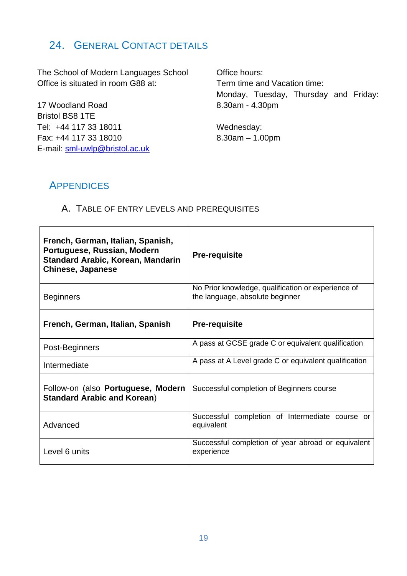# 24. GENERAL CONTACT DETAILS

The School of Modern Languages School Office is situated in room G88 at:

17 Woodland Road Bristol BS8 1TE Tel: +44 117 33 18011 Fax: +44 117 33 18010 E-mail: [sml-uwlp@bristol.ac.uk](mailto:sml-uwlp@bristol.ac.uk)

Office hours: Term time and Vacation time: Monday, Tuesday, Thursday and Friday: 8.30am - 4.30pm

Wednesday: 8.30am – 1.00pm

### <span id="page-18-0"></span>**APPENDICES**

#### <span id="page-18-1"></span>A. TABLE OF ENTRY LEVELS AND PREREQUISITES

| French, German, Italian, Spanish,<br>Portuguese, Russian, Modern<br><b>Standard Arabic, Korean, Mandarin</b><br><b>Chinese, Japanese</b> | <b>Pre-requisite</b>                                                                  |
|------------------------------------------------------------------------------------------------------------------------------------------|---------------------------------------------------------------------------------------|
| <b>Beginners</b>                                                                                                                         | No Prior knowledge, qualification or experience of<br>the language, absolute beginner |
| French, German, Italian, Spanish                                                                                                         | <b>Pre-requisite</b>                                                                  |
| Post-Beginners                                                                                                                           | A pass at GCSE grade C or equivalent qualification                                    |
| Intermediate                                                                                                                             | A pass at A Level grade C or equivalent qualification                                 |
| Follow-on (also Portuguese, Modern<br><b>Standard Arabic and Korean)</b>                                                                 | Successful completion of Beginners course                                             |
| Advanced                                                                                                                                 | Successful completion of Intermediate course or<br>equivalent                         |
| Level 6 units                                                                                                                            | Successful completion of year abroad or equivalent<br>experience                      |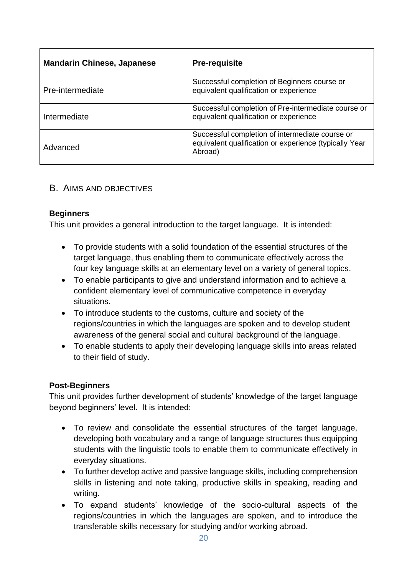| <b>Mandarin Chinese, Japanese</b> | <b>Pre-requisite</b>                                                                                                 |
|-----------------------------------|----------------------------------------------------------------------------------------------------------------------|
| Pre-intermediate                  | Successful completion of Beginners course or<br>equivalent qualification or experience                               |
| Intermediate                      | Successful completion of Pre-intermediate course or<br>equivalent qualification or experience                        |
| Advanced                          | Successful completion of intermediate course or<br>equivalent qualification or experience (typically Year<br>Abroad) |

#### <span id="page-19-0"></span>B. AIMS AND OBJECTIVES

#### **Beginners**

This unit provides a general introduction to the target language. It is intended:

- To provide students with a solid foundation of the essential structures of the target language, thus enabling them to communicate effectively across the four key language skills at an elementary level on a variety of general topics.
- To enable participants to give and understand information and to achieve a confident elementary level of communicative competence in everyday situations.
- To introduce students to the customs, culture and society of the regions/countries in which the languages are spoken and to develop student awareness of the general social and cultural background of the language.
- To enable students to apply their developing language skills into areas related to their field of study.

#### **Post-Beginners**

This unit provides further development of students' knowledge of the target language beyond beginners' level. It is intended:

- To review and consolidate the essential structures of the target language, developing both vocabulary and a range of language structures thus equipping students with the linguistic tools to enable them to communicate effectively in everyday situations.
- To further develop active and passive language skills, including comprehension skills in listening and note taking, productive skills in speaking, reading and writing.
- To expand students' knowledge of the socio-cultural aspects of the regions/countries in which the languages are spoken, and to introduce the transferable skills necessary for studying and/or working abroad.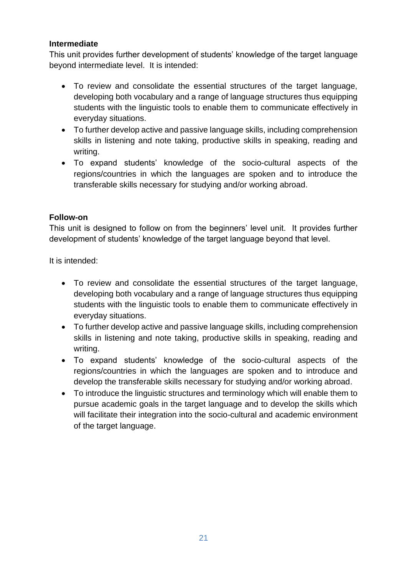#### **Intermediate**

This unit provides further development of students' knowledge of the target language beyond intermediate level. It is intended:

- To review and consolidate the essential structures of the target language, developing both vocabulary and a range of language structures thus equipping students with the linguistic tools to enable them to communicate effectively in everyday situations.
- To further develop active and passive language skills, including comprehension skills in listening and note taking, productive skills in speaking, reading and writing.
- To expand students' knowledge of the socio-cultural aspects of the regions/countries in which the languages are spoken and to introduce the transferable skills necessary for studying and/or working abroad.

#### **Follow-on**

This unit is designed to follow on from the beginners' level unit. It provides further development of students' knowledge of the target language beyond that level.

It is intended:

- To review and consolidate the essential structures of the target language, developing both vocabulary and a range of language structures thus equipping students with the linguistic tools to enable them to communicate effectively in everyday situations.
- To further develop active and passive language skills, including comprehension skills in listening and note taking, productive skills in speaking, reading and writing.
- To expand students' knowledge of the socio-cultural aspects of the regions/countries in which the languages are spoken and to introduce and develop the transferable skills necessary for studying and/or working abroad.
- To introduce the linguistic structures and terminology which will enable them to pursue academic goals in the target language and to develop the skills which will facilitate their integration into the socio-cultural and academic environment of the target language.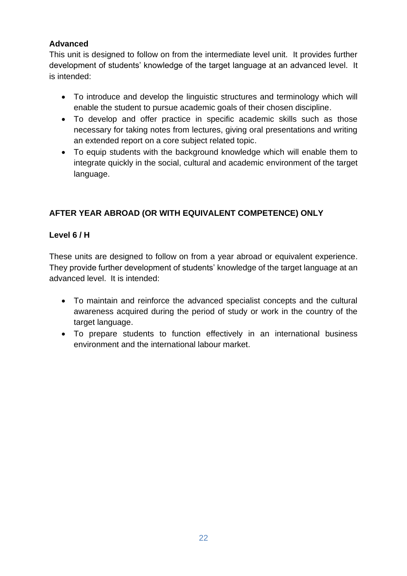#### **Advanced**

This unit is designed to follow on from the intermediate level unit. It provides further development of students' knowledge of the target language at an advanced level. It is intended:

- To introduce and develop the linguistic structures and terminology which will enable the student to pursue academic goals of their chosen discipline.
- To develop and offer practice in specific academic skills such as those necessary for taking notes from lectures, giving oral presentations and writing an extended report on a core subject related topic.
- To equip students with the background knowledge which will enable them to integrate quickly in the social, cultural and academic environment of the target language.

### **AFTER YEAR ABROAD (OR WITH EQUIVALENT COMPETENCE) ONLY**

#### **Level 6 / H**

These units are designed to follow on from a year abroad or equivalent experience. They provide further development of students' knowledge of the target language at an advanced level. It is intended:

- To maintain and reinforce the advanced specialist concepts and the cultural awareness acquired during the period of study or work in the country of the target language.
- To prepare students to function effectively in an international business environment and the international labour market.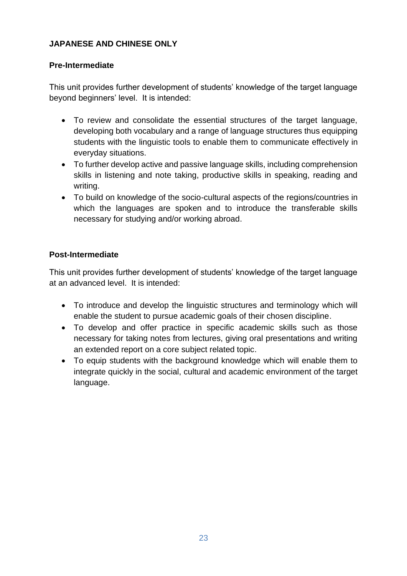#### **JAPANESE AND CHINESE ONLY**

#### **Pre-Intermediate**

This unit provides further development of students' knowledge of the target language beyond beginners' level. It is intended:

- To review and consolidate the essential structures of the target language, developing both vocabulary and a range of language structures thus equipping students with the linguistic tools to enable them to communicate effectively in everyday situations.
- To further develop active and passive language skills, including comprehension skills in listening and note taking, productive skills in speaking, reading and writing.
- To build on knowledge of the socio-cultural aspects of the regions/countries in which the languages are spoken and to introduce the transferable skills necessary for studying and/or working abroad.

#### **Post-Intermediate**

This unit provides further development of students' knowledge of the target language at an advanced level. It is intended:

- To introduce and develop the linguistic structures and terminology which will enable the student to pursue academic goals of their chosen discipline.
- To develop and offer practice in specific academic skills such as those necessary for taking notes from lectures, giving oral presentations and writing an extended report on a core subject related topic.
- To equip students with the background knowledge which will enable them to integrate quickly in the social, cultural and academic environment of the target language.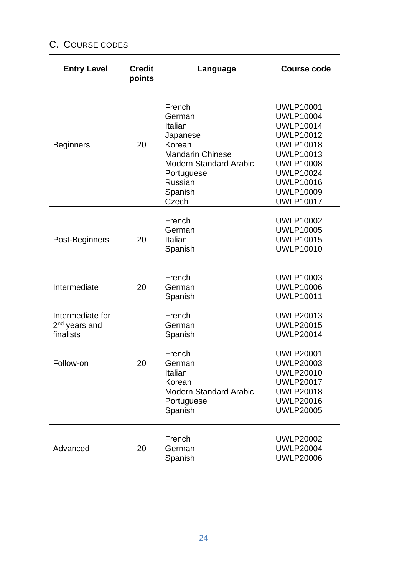# <span id="page-23-0"></span>C. COURSE CODES

| <b>Entry Level</b>                                         | <b>Credit</b><br>points | Language                                                                                                                                                   | <b>Course code</b>                                                                                                                                                                                                       |
|------------------------------------------------------------|-------------------------|------------------------------------------------------------------------------------------------------------------------------------------------------------|--------------------------------------------------------------------------------------------------------------------------------------------------------------------------------------------------------------------------|
| <b>Beginners</b>                                           | 20                      | French<br>German<br>Italian<br>Japanese<br>Korean<br><b>Mandarin Chinese</b><br><b>Modern Standard Arabic</b><br>Portuguese<br>Russian<br>Spanish<br>Czech | <b>UWLP10001</b><br><b>UWLP10004</b><br><b>UWLP10014</b><br><b>UWLP10012</b><br><b>UWLP10018</b><br><b>UWLP10013</b><br><b>UWLP10008</b><br><b>UWLP10024</b><br><b>UWLP10016</b><br><b>UWLP10009</b><br><b>UWLP10017</b> |
| Post-Beginners                                             | 20                      | French<br>German<br>Italian<br>Spanish                                                                                                                     | <b>UWLP10002</b><br><b>UWLP10005</b><br><b>UWLP10015</b><br><b>UWLP10010</b>                                                                                                                                             |
| Intermediate                                               | 20                      | French<br>German<br>Spanish                                                                                                                                | <b>UWLP10003</b><br><b>UWLP10006</b><br><b>UWLP10011</b>                                                                                                                                                                 |
| Intermediate for<br>2 <sup>nd</sup> years and<br>finalists |                         | French<br>German<br>Spanish                                                                                                                                | <b>UWLP20013</b><br><b>UWLP20015</b><br><b>UWLP20014</b>                                                                                                                                                                 |
| Follow-on                                                  | 20                      | French<br>German<br>Italian<br>Korean<br><b>Modern Standard Arabic</b><br>Portuguese<br>Spanish                                                            | <b>UWLP20001</b><br><b>UWLP20003</b><br><b>UWLP20010</b><br><b>UWLP20017</b><br><b>UWLP20018</b><br><b>UWLP20016</b><br><b>UWLP20005</b>                                                                                 |
| Advanced                                                   | 20                      | French<br>German<br>Spanish                                                                                                                                | <b>UWLP20002</b><br><b>UWLP20004</b><br><b>UWLP20006</b>                                                                                                                                                                 |